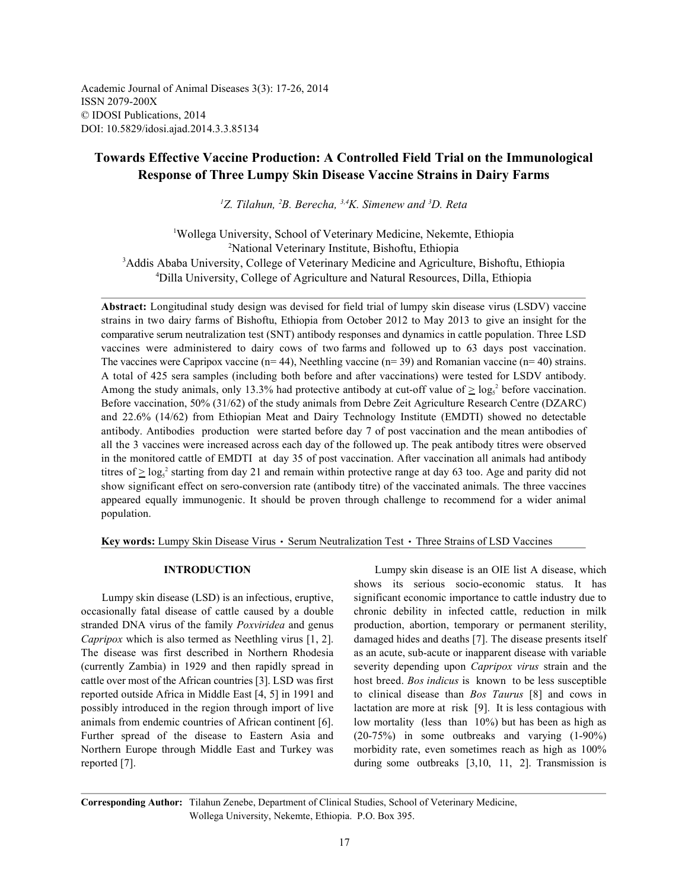Academic Journal of Animal Diseases 3(3): 17-26, 2014 ISSN 2079-200X © IDOSI Publications, 2014 DOI: 10.5829/idosi.ajad.2014.3.3.85134

# **Towards Effective Vaccine Production: A Controlled Field Trial on the Immunological Response of Three Lumpy Skin Disease Vaccine Strains in Dairy Farms**

<sup>1</sup>Z. Tilahun, <sup>2</sup>B. Berecha, <sup>3,4</sup>K. Simenew and <sup>3</sup>D. Reta

Wollega University, School of Veterinary Medicine, Nekemte, Ethiopia <sup>1</sup> <sup>2</sup>National Veterinary Institute, Bishoftu, Ethiopia <sup>3</sup>Addis Ababa University, College of Veterinary Medicine and Agriculture, Bishoftu, Ethiopia Dilla University, College of Agriculture and Natural Resources, Dilla, Ethiopia <sup>4</sup>

**Abstract:** Longitudinal study design was devised for field trial of lumpy skin disease virus (LSDV) vaccine strains in two dairy farms of Bishoftu, Ethiopia from October 2012 to May 2013 to give an insight for the comparative serum neutralization test (SNT) antibody responses and dynamics in cattle population. Three LSD vaccines were administered to dairy cows of two farms and followed up to 63 days post vaccination. The vaccines were Capripox vaccine (n= 44), Neethling vaccine (n= 39) and Romanian vaccine (n= 40) strains. A total of 425 sera samples (including both before and after vaccinations) were tested for LSDV antibody. Among the study animals, only 13.3% had protective antibody at cut-off value of  $\geq \log_5^2$  before vaccination. Before vaccination, 50% (31/62) of the study animals from Debre Zeit Agriculture Research Centre (DZARC) and 22.6% (14/62) from Ethiopian Meat and Dairy Technology Institute (EMDTI) showed no detectable antibody. Antibodies production were started before day 7 of post vaccination and the mean antibodies of all the 3 vaccines were increased across each day of the followed up. The peak antibody titres were observed in the monitored cattle of EMDTI at day 35 of post vaccination. After vaccination all animals had antibody titres of  $\geq \log_5 2$  starting from day 21 and remain within protective range at day 63 too. Age and parity did not show significant effect on sero-conversion rate (antibody titre) of the vaccinated animals. The three vaccines appeared equally immunogenic. It should be proven through challenge to recommend for a wider animal population.

Key words: Lumpy Skin Disease Virus · Serum Neutralization Test · Three Strains of LSD Vaccines

occasionally fatal disease of cattle caused by a double chronic debility in infected cattle, reduction in milk stranded DNA virus of the family *Poxviridea* and genus production, abortion, temporary or permanent sterility, *Capripox* which is also termed as Neethling virus [1, 2]. damaged hides and deaths [7]. The disease presents itself The disease was first described in Northern Rhodesia as an acute, sub-acute or inapparent disease with variable (currently Zambia) in 1929 and then rapidly spread in severity depending upon *Capripox virus* strain and the cattle over most of the African countries [3]. LSD was first host breed. *Bos indicus* is known to be less susceptible reported outside Africa in Middle East [4, 5] in 1991 and to clinical disease than *Bos Taurus* [8] and cows in possibly introduced in the region through import of live lactation are more at risk [9]. It is less contagious with animals from endemic countries of African continent [6]. low mortality (less than 10%) but has been as high as Further spread of the disease to Eastern Asia and (20-75%) in some outbreaks and varying (1-90%) Northern Europe through Middle East and Turkey was morbidity rate, even sometimes reach as high as 100% reported [7]. during some outbreaks [3,10, 11, 2]. Transmission is

**INTRODUCTION** Lumpy skin disease is an OIE list A disease, which Lumpy skin disease (LSD) is an infectious, eruptive, significant economic importance to cattle industry due to shows its serious socio-economic status. It has

**Corresponding Author:** Tilahun Zenebe, Department of Clinical Studies, School of Veterinary Medicine, Wollega University, Nekemte, Ethiopia. P.O. Box 395.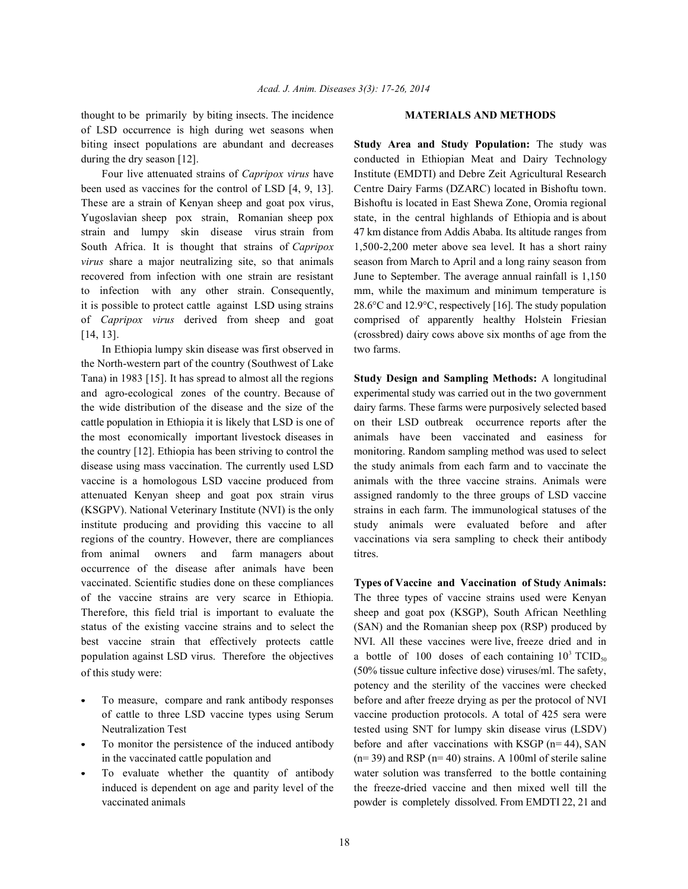thought to be primarily by biting insects. The incidence **MATERIALS AND METHODS** of LSD occurrence is high during wet seasons when biting insect populations are abundant and decreases **Study Area and Study Population:** The study was

been used as vaccines for the control of LSD [4, 9, 13]. Centre Dairy Farms (DZARC) located in Bishoftu town. These are a strain of Kenyan sheep and goat pox virus, Bishoftu is located in East Shewa Zone, Oromia regional Yugoslavian sheep pox strain, Romanian sheep pox state, in the central highlands of Ethiopia and is about strain and lumpy skin disease virus strain from 47 km distance from Addis Ababa. Its altitude ranges from South Africa. It is thought that strains of *Capripox* 1,500-2,200 meter above sea level. It has a short rainy *virus* share a major neutralizing site, so that animals season from March to April and a long rainy season from recovered from infection with one strain are resistant June to September. The average annual rainfall is 1,150 to infection with any other strain. Consequently, mm, while the maximum and minimum temperature is it is possible to protect cattle against LSD using strains 28.6°C and 12.9°C, respectively [16]. The study population of *Capripox virus* derived from sheep and goat comprised of apparently healthy Holstein Friesian [14, 13]. (crossbred) dairy cows above six months of age from the

In Ethiopia lumpy skin disease was first observed in two farms. the North-western part of the country (Southwest of Lake Tana) in 1983 [15]. It has spread to almost all the regions **Study Design and Sampling Methods:** A longitudinal and agro-ecological zones of the country. Because of experimental study was carried out in the two government the wide distribution of the disease and the size of the dairy farms. These farms were purposively selected based cattle population in Ethiopia it is likely that LSD is one of on their LSD outbreak occurrence reports after the the most economically important livestock diseases in animals have been vaccinated and easiness for the country [12]. Ethiopia has been striving to control the monitoring. Random sampling method was used to select disease using mass vaccination. The currently used LSD the study animals from each farm and to vaccinate the vaccine is a homologous LSD vaccine produced from animals with the three vaccine strains. Animals were attenuated Kenyan sheep and goat pox strain virus assigned randomly to the three groups of LSD vaccine (KSGPV). National Veterinary Institute (NVI) is the only strains in each farm. The immunological statuses of the institute producing and providing this vaccine to all study animals were evaluated before and after regions of the country. However, there are compliances vaccinations via sera sampling to check their antibody from animal owners and farm managers about titres. occurrence of the disease after animals have been vaccinated. Scientific studies done on these compliances **Types of Vaccine and Vaccination of Study Animals:** of the vaccine strains are very scarce in Ethiopia. The three types of vaccine strains used were Kenyan Therefore, this field trial is important to evaluate the sheep and goat pox (KSGP), South African Neethling status of the existing vaccine strains and to select the (SAN) and the Romanian sheep pox (RSP) produced by best vaccine strain that effectively protects cattle NVI. All these vaccines were live, freeze dried and in population against LSD virus. Therefore the objectives of this study were:

- 
- 
- 

during the dry season [12]. conducted in Ethiopian Meat and Dairy Technology Four live attenuated strains of *Capripox virus* have Institute (EMDTI) and Debre Zeit Agricultural Research

(50% tissue culture infective dose) viruses/ml. The safety, To measure, compare and rank antibody responses before and after freeze drying as per the protocol of NVI of cattle to three LSD vaccine types using Serum vaccine production protocols. A total of 425 sera were Neutralization Test tested using SNT for lumpy skin disease virus (LSDV) To monitor the persistence of the induced antibody before and after vaccinations with KSGP (n= 44), SAN in the vaccinated cattle population and  $(n= 39)$  and RSP  $(n= 40)$  strains. A 100ml of sterile saline To evaluate whether the quantity of antibody water solution was transferred to the bottle containing induced is dependent on age and parity level of the the freeze-dried vaccine and then mixed well till the vaccinated animals **powder** is completely dissolved. From EMDTI 22, 21 and <sup>3</sup> TCID<sub>50</sub> potency and the sterility of the vaccines were checked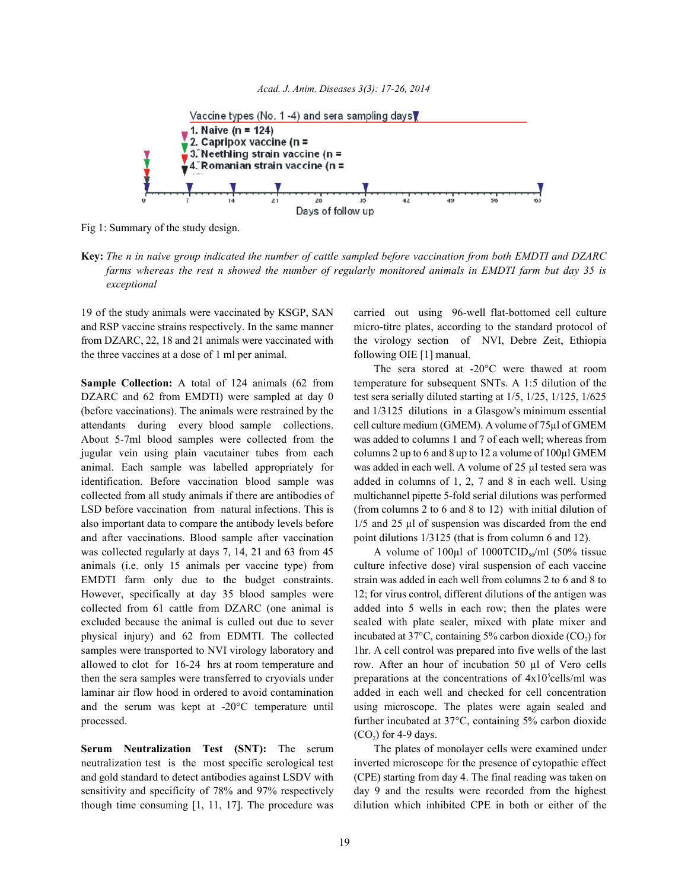



Fig 1: Summary of the study design.

**Key:** *The n in naive group indicated the number of cattle sampled before vaccination from both EMDTI and DZARC farms whereas the rest n showed the number of regularly monitored animals in EMDTI farm but day 35 is exceptional*

and RSP vaccine strains respectively. In the same manner micro-titre plates, according to the standard protocol of from DZARC, 22, 18 and 21 animals were vaccinated with the virology section of NVI, Debre Zeit, Ethiopia the three vaccines at a dose of 1 ml per animal. following OIE [1] manual.

DZARC and 62 from EMDTI) were sampled at day 0 test sera serially diluted starting at  $1/5$ ,  $1/25$ ,  $1/125$ ,  $1/625$ (before vaccinations). The animals were restrained by the and 1/3125 dilutions in a Glasgow's minimum essential attendants during every blood sample collections. cell culture medium (GMEM). A volume of 75µl of GMEM About 5-7ml blood samples were collected from the was added to columns 1 and 7 of each well; whereas from jugular vein using plain vacutainer tubes from each columns 2 up to 6 and 8 up to 12 a volume of 100µl GMEM animal. Each sample was labelled appropriately for was added in each well. A volume of 25 µl tested sera was identification. Before vaccination blood sample was added in columns of 1, 2, 7 and 8 in each well. Using collected from all study animals if there are antibodies of multichannel pipette 5-fold serial dilutions was performed LSD before vaccination from natural infections. This is (from columns 2 to 6 and 8 to 12) with initial dilution of also important data to compare the antibody levels before 1/5 and 25 µl of suspension was discarded from the end and after vaccinations. Blood sample after vaccination point dilutions  $1/3125$  (that is from column 6 and 12). was collected regularly at days 7, 14, 21 and 63 from 45 animals (i.e. only 15 animals per vaccine type) from culture infective dose) viral suspension of each vaccine EMDTI farm only due to the budget constraints. strain was added in each well from columns 2 to 6 and 8 to However, specifically at day 35 blood samples were 12; for virus control, different dilutions of the antigen was collected from 61 cattle from DZARC (one animal is added into 5 wells in each row; then the plates were excluded because the animal is culled out due to sever sealed with plate sealer, mixed with plate mixer and physical injury) and 62 from EDMTI. The collected incubated at  $37^{\circ}$ C, containing  $5\%$  carbon dioxide (CO<sub>2</sub>) for samples were transported to NVI virology laboratory and 1hr. A cell control was prepared into five wells of the last allowed to clot for 16-24 hrs at room temperature and row. After an hour of incubation 50 µl of Vero cells then the sera samples were transferred to cryovials under preparations at the concentrations of  $4x10^{\circ}$ cells/ml was laminar air flow hood in ordered to avoid contamination added in each well and checked for cell concentration and the serum was kept at -20°C temperature until using microscope. The plates were again sealed and processed. further incubated at 37°C, containing 5% carbon dioxide

**Serum Neutralization Test (SNT):** The serum The plates of monolayer cells were examined under neutralization test is the most specific serological test inverted microscope for the presence of cytopathic effect and gold standard to detect antibodies against LSDV with (CPE) starting from day 4. The final reading was taken on sensitivity and specificity of 78% and 97% respectively day 9 and the results were recorded from the highest though time consuming [1, 11, 17]. The procedure was dilution which inhibited CPE in both or either of the

19 of the study animals were vaccinated by KSGP, SAN carried out using 96-well flat-bottomed cell culture

**Sample Collection:** A total of 124 animals (62 from temperature for subsequent SNTs. A 1:5 dilution of the The sera stored at -20°C were thawed at room

> A volume of 100 $\mu$ l of 1000TCID<sub>50</sub> $\mu$ nl (50% tissue  $(CO<sub>2</sub>)$  for 4-9 days.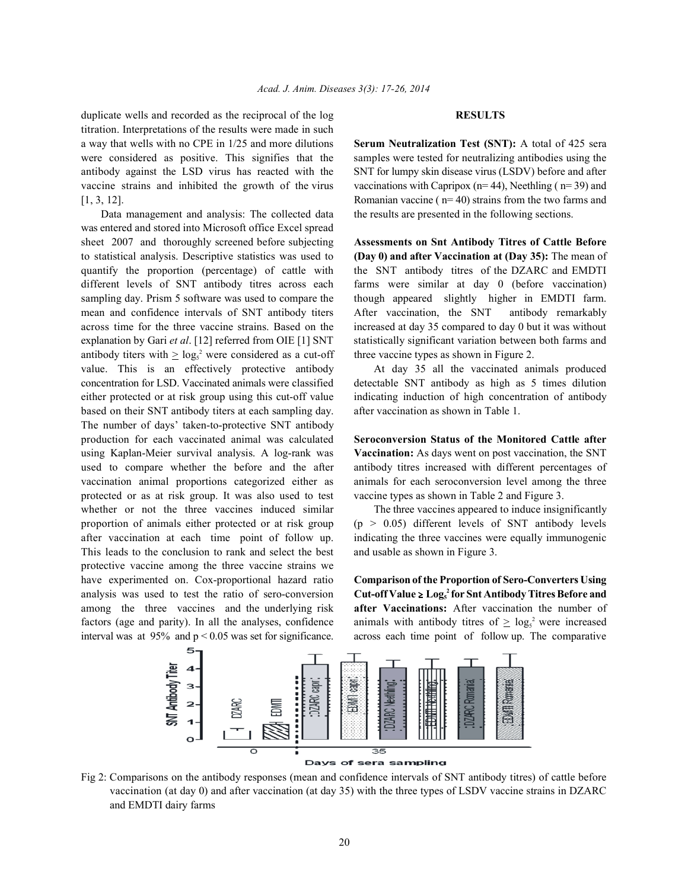duplicate wells and recorded as the reciprocal of the log **RESULTS** titration. Interpretations of the results were made in such a way that wells with no CPE in 1/25 and more dilutions **Serum Neutralization Test (SNT):** A total of 425 sera were considered as positive. This signifies that the samples were tested for neutralizing antibodies using the antibody against the LSD virus has reacted with the SNT for lumpy skin disease virus (LSDV) before and after vaccine strains and inhibited the growth of the virus vaccinations with Capripox ( $n=44$ ), Neethling ( $n=39$ ) and

Data management and analysis: The collected data the results are presented in the following sections. was entered and stored into Microsoft office Excel spread sheet 2007 and thoroughly screened before subjecting **Assessments on Snt Antibody Titres of Cattle Before** to statistical analysis. Descriptive statistics was used to **(Day 0) and after Vaccination at (Day 35):** The mean of quantify the proportion (percentage) of cattle with the SNT antibody titres of the DZARC and EMDTI different levels of SNT antibody titres across each farms were similar at day 0 (before vaccination) sampling day. Prism 5 software was used to compare the though appeared slightly higher in EMDTI farm. mean and confidence intervals of SNT antibody titers After vaccination, the SNT antibody remarkably across time for the three vaccine strains. Based on the increased at day 35 compared to day 0 but it was without explanation by Gari *et al.* [12] referred from OIE [1] SNT statistically significant variation between both farms and antibody titers with  $\geq \log_2^2$  were considered as a cut-off three vaccine types as shown in Figure 2. value. This is an effectively protective antibody At day 35 all the vaccinated animals produced concentration for LSD. Vaccinated animals were classified detectable SNT antibody as high as 5 times dilution either protected or at risk group using this cut-off value indicating induction of high concentration of antibody based on their SNT antibody titers at each sampling day. after vaccination as shown in Table 1. The number of days' taken-to-protective SNT antibody production for each vaccinated animal was calculated **Seroconversion Status of the Monitored Cattle after** using Kaplan-Meier survival analysis. A log-rank was **Vaccination:** As days went on post vaccination, the SNT used to compare whether the before and the after antibody titres increased with different percentages of vaccination animal proportions categorized either as animals for each seroconversion level among the three protected or as at risk group. It was also used to test vaccine types as shown in Table 2 and Figure 3. whether or not the three vaccines induced similar The three vaccines appeared to induce insignificantly proportion of animals either protected or at risk group ( $p > 0.05$ ) different levels of SNT antibody levels after vaccination at each time point of follow up. indicating the three vaccines were equally immunogenic This leads to the conclusion to rank and select the best and usable as shown in Figure 3. protective vaccine among the three vaccine strains we have experimented on. Cox-proportional hazard ratio **Comparison of the Proportion of Sero-Converters Using** analysis was used to test the ratio of sero-conversion **Cut-off Value**  $\geq$  **Log<sub>s</sub>** for Snt Antibody Titres Before and among the three vaccines and the underlying risk **after Vaccinations:** After vaccination the number of factors (age and parity). In all the analyses, confidence animals with antibody titres of  $\geq \log_5 2$  were increased interval was at  $95\%$  and  $p < 0.05$  was set for significance. across each time point of follow up. The comparative

[1, 3, 12]. Romanian vaccine ( n= 40) strains from the two farms and



Fig 2: Comparisons on the antibody responses (mean and confidence intervals of SNT antibody titres) of cattle before vaccination (at day 0) and after vaccination (at day 35) with the three types of LSDV vaccine strains in DZARC and EMDTI dairy farms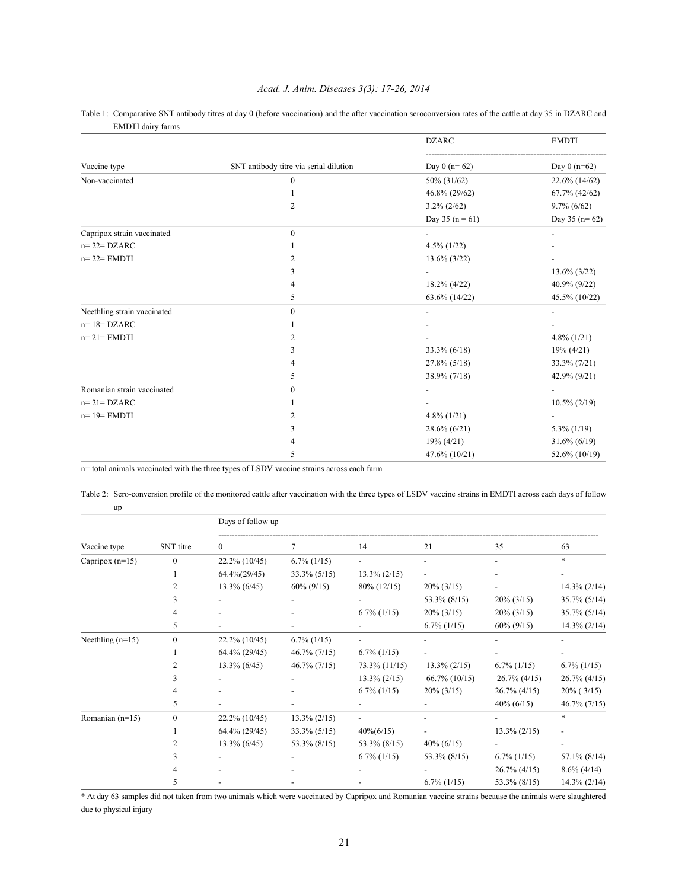## *Acad. J. Anim. Diseases 3(3): 17-26, 2014*

|                             |                                        | <b>DZARC</b>        | <b>EMDTI</b>    |  |
|-----------------------------|----------------------------------------|---------------------|-----------------|--|
| Vaccine type                | SNT antibody titre via serial dilution | Day $0(n=62)$       | Day $0(n=62)$   |  |
| Non-vaccinated              | $\mathbf{0}$                           | 50% (31/62)         | 22.6% (14/62)   |  |
|                             |                                        | 46.8% (29/62)       | 67.7% (42/62)   |  |
|                             | 2                                      | $3.2\% (2/62)$      | $9.7\%$ (6/62)  |  |
|                             |                                        | Day 35 ( $n = 61$ ) | Day $35(n=62)$  |  |
| Capripox strain vaccinated  | $\mathbf{0}$                           |                     |                 |  |
| $n=22=DZARC$                |                                        | $4.5\%$ (1/22)      |                 |  |
| $n=22=EMDTI$                | $\overline{c}$                         | $13.6\%$ (3/22)     |                 |  |
|                             | 3                                      |                     | $13.6\%$ (3/22) |  |
|                             | 4                                      | 18.2% (4/22)        | 40.9% (9/22)    |  |
|                             | 5                                      | 63.6% (14/22)       | 45.5% (10/22)   |  |
| Neethling strain vaccinated | $\mathbf{0}$                           |                     |                 |  |
| $n=18=$ DZARC               |                                        |                     |                 |  |
| $n=21=EMDTI$                | $\overline{c}$                         |                     | $4.8\%$ (1/21)  |  |
|                             | 3                                      | 33.3% (6/18)        | $19\% (4/21)$   |  |
|                             | 4                                      | $27.8\%$ (5/18)     | 33.3% (7/21)    |  |
|                             | 5                                      | 38.9% (7/18)        | 42.9% (9/21)    |  |
| Romanian strain vaccinated  | $\mathbf{0}$                           |                     |                 |  |
| $n=21=DZARC$                |                                        |                     | $10.5\% (2/19)$ |  |
| $n=19=EMDTI$                | 2                                      | $4.8\%$ (1/21)      |                 |  |
|                             | 3                                      | 28.6% (6/21)        | $5.3\%$ (1/19)  |  |
|                             |                                        | $19\% (4/21)$       | $31.6\% (6/19)$ |  |
|                             | 5                                      | 47.6% (10/21)       | 52.6% (10/19)   |  |

Table 1: Comparative SNT antibody titres at day 0 (before vaccination) and the after vaccination seroconversion rates of the cattle at day 35 in DZARC and EMDTI dairy farms

n= total animals vaccinated with the three types of LSDV vaccine strains across each farm

Table 2: Sero-conversion profile of the monitored cattle after vaccination with the three types of LSDV vaccine strains in EMDTI across each days of follow up

|                    | SNT titre    | Days of follow up |                 |                 |                  |                 |                 |
|--------------------|--------------|-------------------|-----------------|-----------------|------------------|-----------------|-----------------|
| Vaccine type       |              | $\mathbf{0}$      | 7               | 14              | 21               | 35              | 63              |
| Capripox $(n=15)$  | $\theta$     | 22.2% (10/45)     | $6.7\%$ (1/15)  |                 |                  |                 | *               |
|                    |              | $64.4\% (29/45)$  | $33.3\%$ (5/15) | $13.3\% (2/15)$ |                  |                 |                 |
|                    |              | $13.3\%$ (6/45)   | $60\% (9/15)$   | $80\%$ (12/15)  | $20\% (3/15)$    |                 | $14.3\% (2/14)$ |
|                    |              |                   |                 |                 | 53.3% (8/15)     | $20\% (3/15)$   | $35.7\%$ (5/14) |
|                    |              |                   |                 | $6.7\%$ (1/15)  | $20\% (3/15)$    | $20\% (3/15)$   | $35.7\%$ (5/14) |
|                    | 5            |                   |                 |                 | $6.7\%$ (1/15)   | $60\% (9/15)$   | $14.3\% (2/14)$ |
| Neethling $(n=15)$ | $\mathbf{0}$ | 22.2% (10/45)     | $6.7\%$ (1/15)  |                 |                  |                 |                 |
|                    |              | 64.4% (29/45)     | $46.7\%$ (7/15) | $6.7\%$ (1/15)  |                  |                 |                 |
|                    |              | $13.3\%$ (6/45)   | $46.7\%$ (7/15) | 73.3% (11/15)   | $13.3\% (2/15)$  | $6.7\%$ (1/15)  | $6.7\%$ (1/15)  |
|                    |              |                   |                 | $13.3\% (2/15)$ | $66.7\%$ (10/15) | $26.7\%$ (4/15) | $26.7\%$ (4/15) |
|                    |              |                   |                 | $6.7\%$ (1/15)  | $20\% (3/15)$    | $26.7\%$ (4/15) | $20\%$ (3/15)   |
|                    | 5            |                   |                 |                 |                  | $40\% (6/15)$   | $46.7\%$ (7/15) |
| Romanian (n=15)    | $\mathbf{0}$ | 22.2% (10/45)     | $13.3\% (2/15)$ |                 |                  |                 | $\ast$          |
|                    |              | 64.4% (29/45)     | $33.3\%$ (5/15) | $40\%(6/15)$    |                  | $13.3\% (2/15)$ |                 |
|                    |              | $13.3\%$ (6/45)   | 53.3% (8/15)    | 53.3% (8/15)    | $40\% (6/15)$    |                 |                 |
|                    |              |                   |                 | $6.7\%$ (1/15)  | 53.3% (8/15)     | $6.7\%$ (1/15)  | $57.1\%$ (8/14) |
|                    |              |                   |                 |                 |                  | $26.7\%$ (4/15) | $8.6\%$ (4/14)  |
|                    |              |                   |                 |                 | $6.7\%$ $(1/15)$ | 53.3% (8/15)    | $14.3\% (2/14)$ |

\* At day 63 samples did not taken from two animals which were vaccinated by Capripox and Romanian vaccine strains because the animals were slaughtered due to physical injury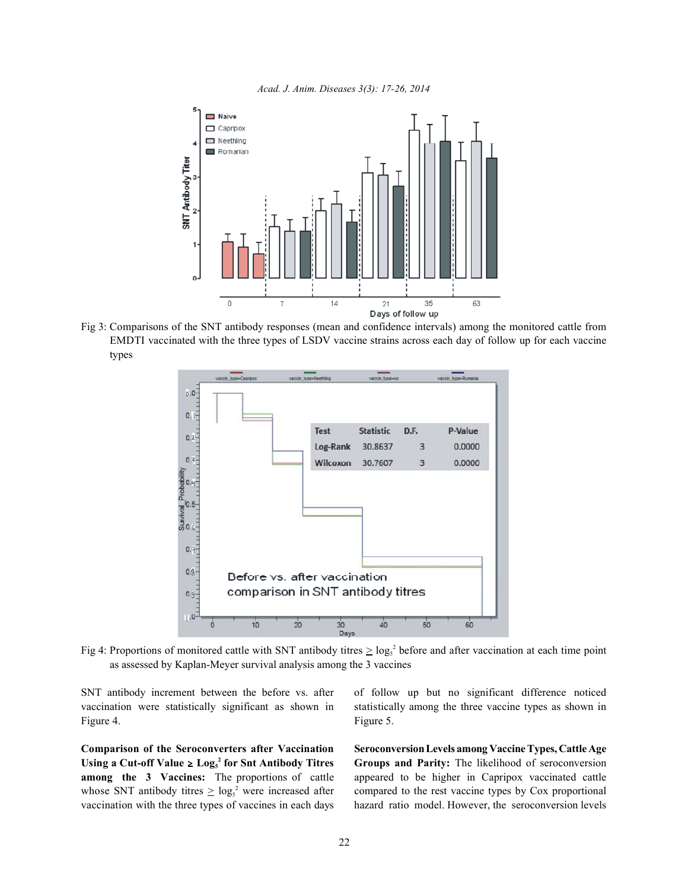



Fig 3: Comparisons of the SNT antibody responses (mean and confidence intervals) among the monitored cattle from EMDTI vaccinated with the three types of LSDV vaccine strains across each day of follow up for each vaccine types



Fig 4: Proportions of monitored cattle with SNT antibody titres  $\geq \log_5 2$  before and after vaccination at each time point as assessed by Kaplan-Meyer survival analysis among the 3 vaccines

vaccination were statistically significant as shown in statistically among the three vaccine types as shown in Figure 4. Figure 5.

**Comparison of the Seroconverters after Vaccination SeroconversionLevels among Vaccine Types, Cattle Age Using a Cut-off Value**  $\geq$  **Log<sub>s</sub><sup>2</sup>** for Snt Antibody Titres Groups and Parity: The likelihood of seroconversion **among the 3 Vaccines:** The proportions of cattle appeared to be higher in Capripox vaccinated cattle whose SNT antibody titres  $\geq \log_5^2$  were increased after compared to the rest vaccine types by Cox proportional vaccination with the three types of vaccines in each days hazard ratio model. However, the seroconversion levels

SNT antibody increment between the before vs. after of follow up but no significant difference noticed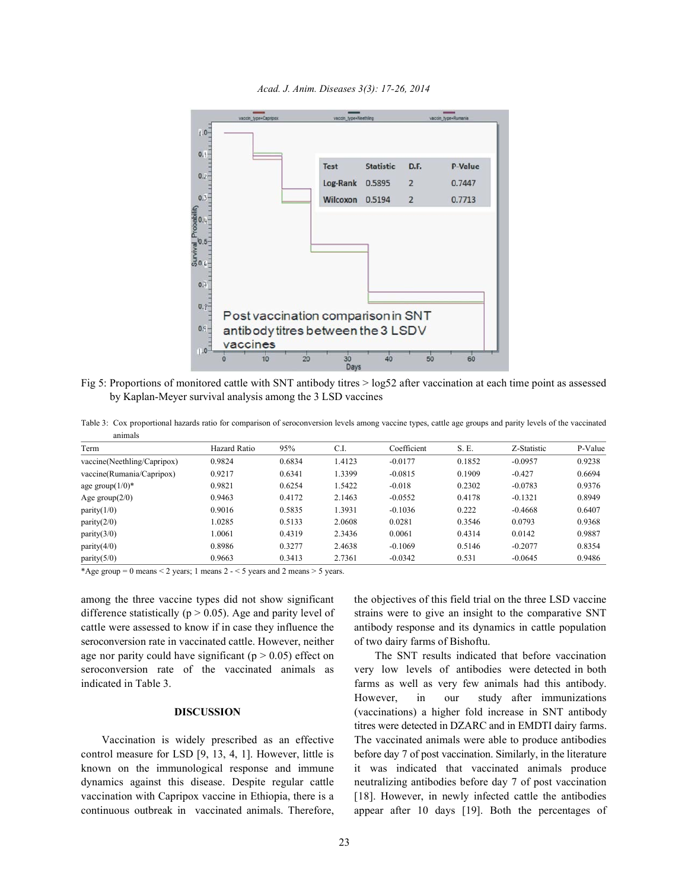*Acad. J. Anim. Diseases 3(3): 17-26, 2014*



Fig 5: Proportions of monitored cattle with SNT antibody titres > log52 after vaccination at each time point as assessed by Kaplan-Meyer survival analysis among the 3 LSD vaccines

Table 3: Cox proportional hazards ratio for comparison of seroconversion levels among vaccine types, cattle age groups and parity levels of the vaccinated animals

| Term                        | <b>Hazard Ratio</b> | 95%    | C.I    | Coefficient | S. E.  | Z-Statistic | P-Value |
|-----------------------------|---------------------|--------|--------|-------------|--------|-------------|---------|
| vaccine(Neethling/Capripox) | 0.9824              | 0.6834 | .4123  | $-0.0177$   | 0.1852 | $-0.0957$   | 0.9238  |
| vaccine(Rumania/Capripox)   | 0.9217              | 0.6341 | .3399  | $-0.0815$   | 0.1909 | $-0.427$    | 0.6694  |
| age group $(1/0)^*$         | 0.9821              | 0.6254 | .5422  | $-0.018$    | 0.2302 | $-0.0783$   | 0.9376  |
| Age group $(2/0)$           | 0.9463              | 0.4172 | 2.1463 | $-0.0552$   | 0.4178 | $-0.1321$   | 0.8949  |
| parity(1/0)                 | 0.9016              | 0.5835 | .3931  | $-0.1036$   | 0.222  | $-0.4668$   | 0.6407  |
| parity(2/0)                 | 1.0285              | 0.5133 | 2.0608 | 0.0281      | 0.3546 | 0.0793      | 0.9368  |
| parity(3/0)                 | 1.0061              | 0.4319 | 2.3436 | 0.0061      | 0.4314 | 0.0142      | 0.9887  |
| parity $(4/0)$              | 0.8986              | 0.3277 | 2.4638 | $-0.1069$   | 0.5146 | $-0.2077$   | 0.8354  |
| parity $(5/0)$              | 0.9663              | 0.3413 | 2.7361 | $-0.0342$   | 0.531  | $-0.0645$   | 0.9486  |

\*Age group = 0 means < 2 years; 1 means  $2 - 5$  years and 2 means > 5 years.

difference statistically ( $p > 0.05$ ). Age and parity level of strains were to give an insight to the comparative SNT cattle were assessed to know if in case they influence the antibody response and its dynamics in cattle population seroconversion rate in vaccinated cattle. However, neither of two dairy farms of Bishoftu. age nor parity could have significant  $(p > 0.05)$  effect on The SNT results indicated that before vaccination seroconversion rate of the vaccinated animals as very low levels of antibodies were detected in both

control measure for LSD [9, 13, 4, 1]. However, little is before day 7 of post vaccination. Similarly, in the literature known on the immunological response and immune it was indicated that vaccinated animals produce dynamics against this disease. Despite regular cattle neutralizing antibodies before day 7 of post vaccination vaccination with Capripox vaccine in Ethiopia, there is a [18]. However, in newly infected cattle the antibodies continuous outbreak in vaccinated animals. Therefore, appear after 10 days [19]. Both the percentages of

among the three vaccine types did not show significant the objectives of this field trial on the three LSD vaccine

indicated in Table 3. farms as well as very few animals had this antibody. **DISCUSSION** (vaccinations) a higher fold increase in SNT antibody Vaccination is widely prescribed as an effective The vaccinated animals were able to produce antibodies However, in our study after immunizations titres were detected in DZARC and in EMDTI dairy farms.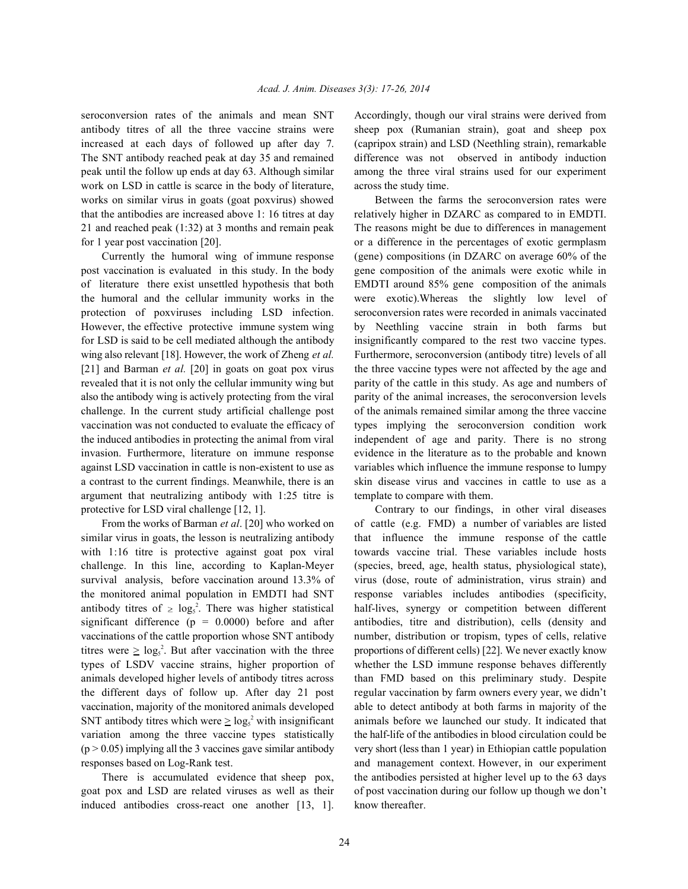seroconversion rates of the animals and mean SNT Accordingly, though our viral strains were derived from antibody titres of all the three vaccine strains were sheep pox (Rumanian strain), goat and sheep pox increased at each days of followed up after day 7. (capripox strain) and LSD (Neethling strain), remarkable The SNT antibody reached peak at day 35 and remained difference was not observed in antibody induction peak until the follow up ends at day 63. Although similar among the three viral strains used for our experiment work on LSD in cattle is scarce in the body of literature, across the study time. works on similar virus in goats (goat poxvirus) showed Between the farms the seroconversion rates were that the antibodies are increased above 1: 16 titres at day relatively higher in DZARC as compared to in EMDTI. 21 and reached peak (1:32) at 3 months and remain peak The reasons might be due to differences in management for 1 year post vaccination [20]. or a difference in the percentages of exotic germplasm

post vaccination is evaluated in this study. In the body gene composition of the animals were exotic while in of literature there exist unsettled hypothesis that both EMDTI around 85% gene composition of the animals the humoral and the cellular immunity works in the were exotic).Whereas the slightly low level of protection of poxviruses including LSD infection. seroconversion rates were recorded in animals vaccinated However, the effective protective immune system wing by Neethling vaccine strain in both farms but for LSD is said to be cell mediated although the antibody insignificantly compared to the rest two vaccine types. wing also relevant [18]. However, the work of Zheng *et al.* Furthermore, seroconversion (antibody titre) levels of all [21] and Barman *et al.* [20] in goats on goat pox virus the three vaccine types were not affected by the age and revealed that it is not only the cellular immunity wing but parity of the cattle in this study. As age and numbers of also the antibody wing is actively protecting from the viral parity of the animal increases, the seroconversion levels challenge. In the current study artificial challenge post of the animals remained similar among the three vaccine vaccination was not conducted to evaluate the efficacy of types implying the seroconversion condition work the induced antibodies in protecting the animal from viral independent of age and parity. There is no strong invasion. Furthermore, literature on immune response evidence in the literature as to the probable and known against LSD vaccination in cattle is non-existent to use as variables which influence the immune response to lumpy a contrast to the current findings. Meanwhile, there is an skin disease virus and vaccines in cattle to use as a argument that neutralizing antibody with 1:25 titre is template to compare with them. protective for LSD viral challenge [12, 1]. Contrary to our findings, in other viral diseases

similar virus in goats, the lesson is neutralizing antibody that influence the immune response of the cattle with 1:16 titre is protective against goat pox viral towards vaccine trial. These variables include hosts challenge. In this line, according to Kaplan-Meyer (species, breed, age, health status, physiological state), survival analysis, before vaccination around 13.3% of virus (dose, route of administration, virus strain) and the monitored animal population in EMDTI had SNT response variables includes antibodies (specificity, antibody titres of  $\geq \log_5 2$ . There was higher statistical half-lives, synergy or competition between different significant difference (p = 0.0000) before and after antibodies, titre and distribution), cells (density and vaccinations of the cattle proportion whose SNT antibody number, distribution or tropism, types of cells, relative titres were  $\geq \log_5^2$ . But after vaccination with the three types of LSDV vaccine strains, higher proportion of whether the LSD immune response behaves differently animals developed higher levels of antibody titres across than FMD based on this preliminary study. Despite the different days of follow up. After day 21 post regular vaccination by farm owners every year, we didn't vaccination, majority of the monitored animals developed able to detect antibody at both farms in majority of the SNT antibody titres which were  $\geq \log_5 2$  with insignificant variation among the three vaccine types statistically the half-life of the antibodies in blood circulation could be  $(p > 0.05)$  implying all the 3 vaccines gave similar antibody very short (less than 1 year) in Ethiopian cattle population

goat pox and LSD are related viruses as well as their of post vaccination during our follow up though we don't induced antibodies cross-react one another [13, 1]. know thereafter.

Currently the humoral wing of immune response (gene) compositions (in DZARC on average 60% of the

From the works of Barman *et al*. [20] who worked on of cattle (e.g. FMD) a number of variables are listed proportions of different cells) [22]. We never exactly know animals before we launched our study. It indicated that responses based on Log-Rank test. And management context. However, in our experiment There is accumulated evidence that sheep pox, the antibodies persisted at higher level up to the 63 days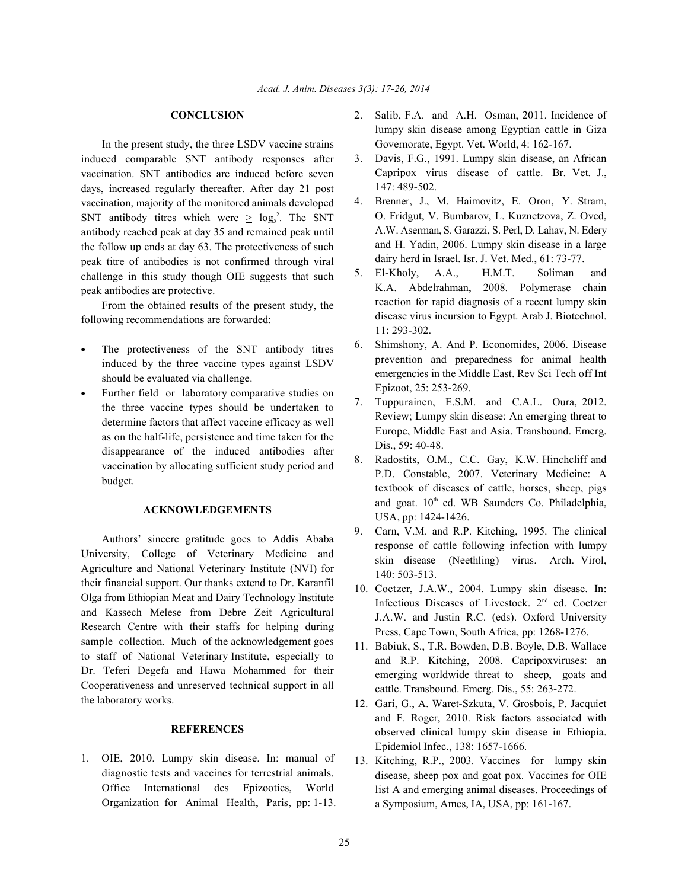In the present study, the three LSDV vaccine strains induced comparable SNT antibody responses after vaccination. SNT antibodies are induced before seven days, increased regularly thereafter. After day 21 post vaccination, majority of the monitored animals developed SNT antibody titres which were  $\geq \log_5^2$ . The SNT antibody reached peak at day 35 and remained peak until the follow up ends at day 63. The protectiveness of such peak titre of antibodies is not confirmed through viral challenge in this study though OIE suggests that such peak antibodies are protective.

From the obtained results of the present study, the following recommendations are forwarded:

- The protectiveness of the SNT antibody titres induced by the three vaccine types against LSDV should be evaluated via challenge.
- Further field or laboratory comparative studies on the three vaccine types should be undertaken to determine factors that affect vaccine efficacy as well as on the half-life, persistence and time taken for the disappearance of the induced antibodies after vaccination by allocating sufficient study period and budget.

### **ACKNOWLEDGEMENTS**

Authors' sincere gratitude goes to Addis Ababa University, College of Veterinary Medicine and Agriculture and National Veterinary Institute (NVI) for their financial support. Our thanks extend to Dr. Karanfil Olga from Ethiopian Meat and Dairy Technology Institute and Kassech Melese from Debre Zeit Agricultural Research Centre with their staffs for helping during sample collection. Much of the acknowledgement goes to staff of National Veterinary Institute, especially to Dr. Teferi Degefa and Hawa Mohammed for their Cooperativeness and unreserved technical support in all the laboratory works.

### **REFERENCES**

1. OIE, 2010. Lumpy skin disease. In: manual of diagnostic tests and vaccines for terrestrial animals. Office International des Epizooties, World Organization for Animal Health, Paris, pp: 1-13.

- **CONCLUSION** 2. Salib, F.A. and A.H. Osman, 2011. Incidence of lumpy skin disease among Egyptian cattle in Giza Governorate, Egypt. Vet. World, 4: 162-167.
	- 3. Davis, F.G., 1991. Lumpy skin disease, an African Capripox virus disease of cattle. Br. Vet. J., 147: 489-502.
	- 4. Brenner, J., M. Haimovitz, E. Oron, Y. Stram, O. Fridgut, V. Bumbarov, L. Kuznetzova, Z. Oved, A.W. Aserman, S. Garazzi, S. Perl, D. Lahav, N. Edery and H. Yadin, 2006. Lumpy skin disease in a large dairy herd in Israel. Isr. J. Vet. Med., 61: 73-77.
	- 5. El-Kholy, A.A., H.M.T. Soliman and K.A. Abdelrahman, 2008. Polymerase chain reaction for rapid diagnosis of a recent lumpy skin disease virus incursion to Egypt. Arab J. Biotechnol. 11: 293-302.
	- 6. Shimshony, A. And P. Economides, 2006. Disease prevention and preparedness for animal health emergencies in the Middle East. Rev Sci Tech off Int Epizoot, 25: 253-269.
	- 7. Tuppurainen, E.S.M. and C.A.L. Oura, 2012. Review; Lumpy skin disease: An emerging threat to Europe, Middle East and Asia. Transbound. Emerg. Dis., 59: 40-48.
	- 8. Radostits, O.M., C.C. Gay, K.W. Hinchcliff and P.D. Constable, 2007. Veterinary Medicine: A textbook of diseases of cattle, horses, sheep, pigs and goat.  $10<sup>th</sup>$  ed. WB Saunders Co. Philadelphia, USA, pp: 1424-1426.
	- 9. Carn, V.M. and R.P. Kitching, 1995. The clinical response of cattle following infection with lumpy skin disease (Neethling) virus. Arch. Virol, 140: 503-513.
	- 10. Coetzer, J.A.W., 2004. Lumpy skin disease. In: Infectious Diseases of Livestock. 2<sup>nd</sup> ed. Coetzer J.A.W. and Justin R.C. (eds). Oxford University Press, Cape Town, South Africa, pp: 1268-1276.
	- 11. Babiuk, S., T.R. Bowden, D.B. Boyle, D.B. Wallace and R.P. Kitching, 2008. Capripoxviruses: an emerging worldwide threat to sheep, goats and cattle. Transbound. Emerg. Dis., 55: 263-272.
	- 12. Gari, G., A. Waret-Szkuta, V. Grosbois, P. Jacquiet and F. Roger, 2010. Risk factors associated with observed clinical lumpy skin disease in Ethiopia. Epidemiol Infec., 138: 1657-1666.
	- 13. Kitching, R.P., 2003. Vaccines for lumpy skin disease, sheep pox and goat pox. Vaccines for OIE list A and emerging animal diseases. Proceedings of a Symposium, Ames, IA, USA, pp: 161-167.